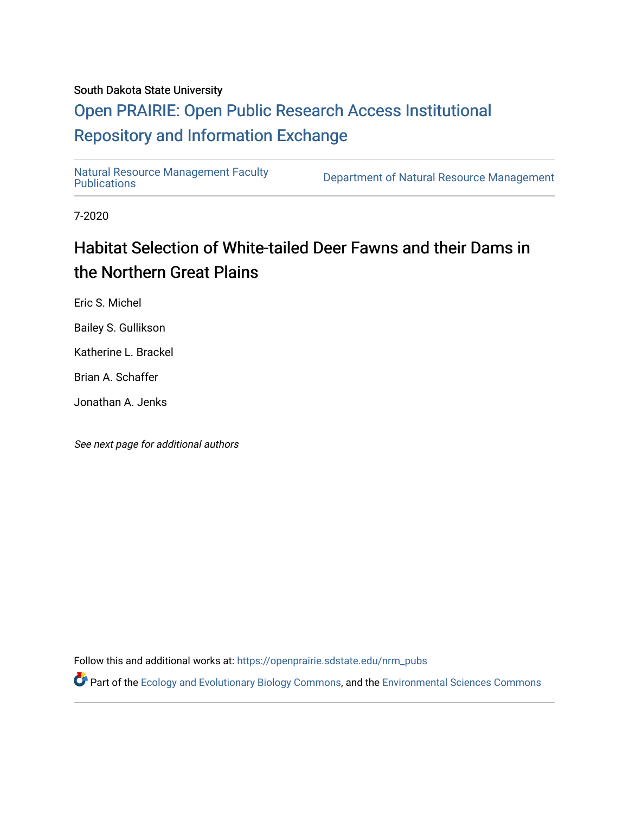## South Dakota State University

## [Open PRAIRIE: Open Public Research Access Institutional](https://openprairie.sdstate.edu/)  [Repository and Information Exchange](https://openprairie.sdstate.edu/)

[Natural Resource Management Faculty](https://openprairie.sdstate.edu/nrm_pubs) 

Department of Natural Resource Management

7-2020

# Habitat Selection of White-tailed Deer Fawns and their Dams in the Northern Great Plains

Eric S. Michel

Bailey S. Gullikson

Katherine L. Brackel

Brian A. Schaffer

Jonathan A. Jenks

See next page for additional authors

Follow this and additional works at: [https://openprairie.sdstate.edu/nrm\\_pubs](https://openprairie.sdstate.edu/nrm_pubs?utm_source=openprairie.sdstate.edu%2Fnrm_pubs%2F301&utm_medium=PDF&utm_campaign=PDFCoverPages)

Part of the [Ecology and Evolutionary Biology Commons](http://network.bepress.com/hgg/discipline/14?utm_source=openprairie.sdstate.edu%2Fnrm_pubs%2F301&utm_medium=PDF&utm_campaign=PDFCoverPages), and the [Environmental Sciences Commons](http://network.bepress.com/hgg/discipline/167?utm_source=openprairie.sdstate.edu%2Fnrm_pubs%2F301&utm_medium=PDF&utm_campaign=PDFCoverPages)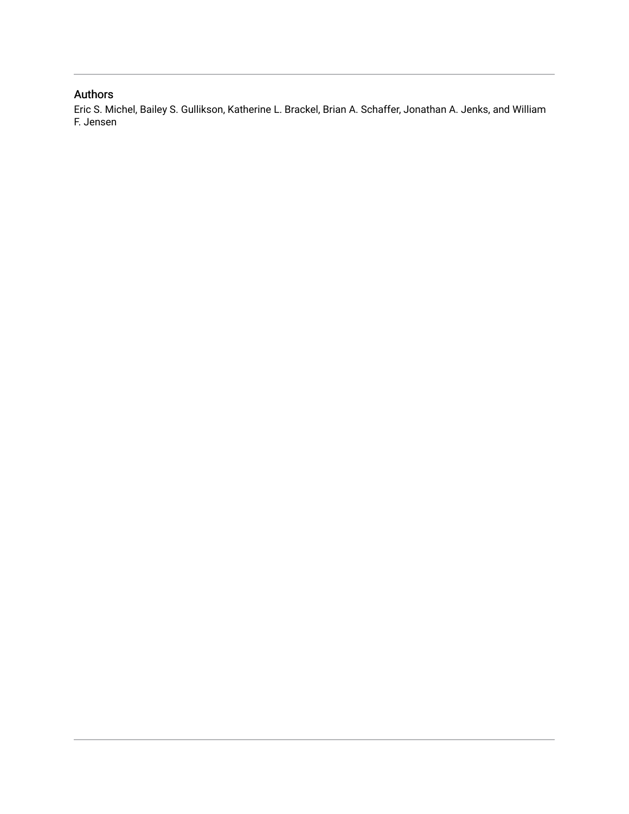## Authors

Eric S. Michel, Bailey S. Gullikson, Katherine L. Brackel, Brian A. Schaffer, Jonathan A. Jenks, and William F. Jensen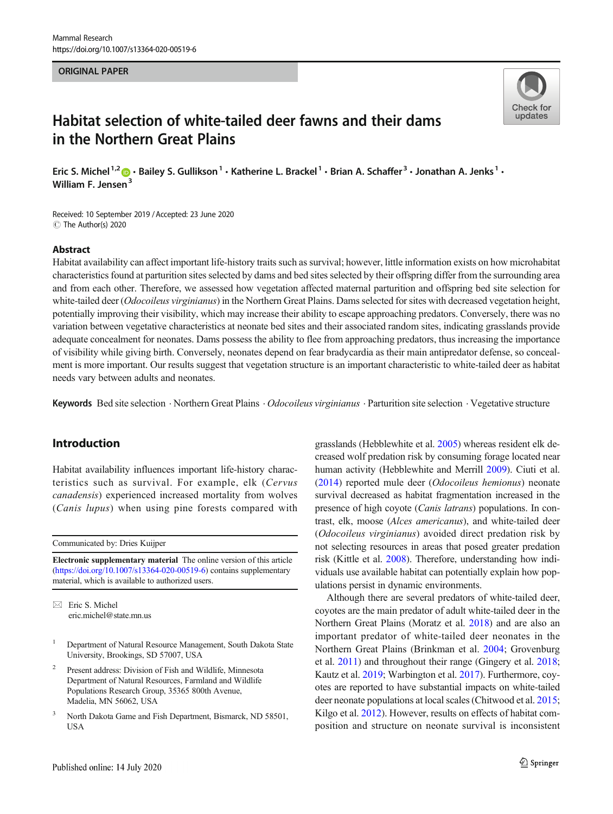#### ORIGINAL PAPER



## Habitat selection of white-tailed deer fawns and their dams in the Northern Great Plains

Eric S. Michel<sup>1,2</sup>  $\bullet$  · Bailey S. Gullikson<sup>1</sup> · Katherine L. Brackel<sup>1</sup> · Brian A. Schaffer<sup>3</sup> · Jonathan A. Jenks<sup>1</sup> · William F. Jensen<sup>3</sup>

Received: 10 September 2019 /Accepted: 23 June 2020 C The Author(s) 2020

#### Abstract

Habitat availability can affect important life-history traits such as survival; however, little information exists on how microhabitat characteristics found at parturition sites selected by dams and bed sites selected by their offspring differ from the surrounding area and from each other. Therefore, we assessed how vegetation affected maternal parturition and offspring bed site selection for white-tailed deer (*Odocoileus virginianus*) in the Northern Great Plains. Dams selected for sites with decreased vegetation height, potentially improving their visibility, which may increase their ability to escape approaching predators. Conversely, there was no variation between vegetative characteristics at neonate bed sites and their associated random sites, indicating grasslands provide adequate concealment for neonates. Dams possess the ability to flee from approaching predators, thus increasing the importance of visibility while giving birth. Conversely, neonates depend on fear bradycardia as their main antipredator defense, so concealment is more important. Our results suggest that vegetation structure is an important characteristic to white-tailed deer as habitat needs vary between adults and neonates.

Keywords Bed site selection · Northern Great Plains · Odocoileus virginianus · Parturition site selection · Vegetative structure

## Introduction

Habitat availability influences important life-history characteristics such as survival. For example, elk (Cervus canadensis) experienced increased mortality from wolves (Canis lupus) when using pine forests compared with

Communicated by: Dries Kuijper

Electronic supplementary material The online version of this article ([https://doi.org/10.1007/s13364-020-00519-6\)](https://doi.org/10.1007/s13364-020-00519-6) contains supplementary material, which is available to authorized users.

 $\boxtimes$  Eric S. Michel [eric.michel@state.mn.us](mailto:eric.michel@state.mn.us)

- <sup>1</sup> Department of Natural Resource Management, South Dakota State University, Brookings, SD 57007, USA
- <sup>2</sup> Present address: Division of Fish and Wildlife, Minnesota Department of Natural Resources, Farmland and Wildlife Populations Research Group, 35365 800th Avenue, Madelia, MN 56062, USA
- <sup>3</sup> North Dakota Game and Fish Department, Bismarck, ND 58501, **USA**

grasslands (Hebblewhite et al. [2005\)](#page-10-0) whereas resident elk decreased wolf predation risk by consuming forage located near human activity (Hebblewhite and Merrill [2009](#page-10-0)). Ciuti et al. [\(2014](#page-9-0)) reported mule deer (Odocoileus hemionus) neonate survival decreased as habitat fragmentation increased in the presence of high coyote (Canis latrans) populations. In contrast, elk, moose (Alces americanus), and white-tailed deer (Odocoileus virginianus) avoided direct predation risk by not selecting resources in areas that posed greater predation risk (Kittle et al. [2008\)](#page-10-0). Therefore, understanding how individuals use available habitat can potentially explain how populations persist in dynamic environments.

Although there are several predators of white-tailed deer, coyotes are the main predator of adult white-tailed deer in the Northern Great Plains (Moratz et al. [2018\)](#page-10-0) and are also an important predator of white-tailed deer neonates in the Northern Great Plains (Brinkman et al. [2004;](#page-9-0) Grovenburg et al. [2011\)](#page-9-0) and throughout their range (Gingery et al. [2018;](#page-9-0) Kautz et al. [2019](#page-10-0); Warbington et al. [2017](#page-10-0)). Furthermore, coyotes are reported to have substantial impacts on white-tailed deer neonate populations at local scales (Chitwood et al. [2015;](#page-9-0) Kilgo et al. [2012\)](#page-10-0). However, results on effects of habitat composition and structure on neonate survival is inconsistent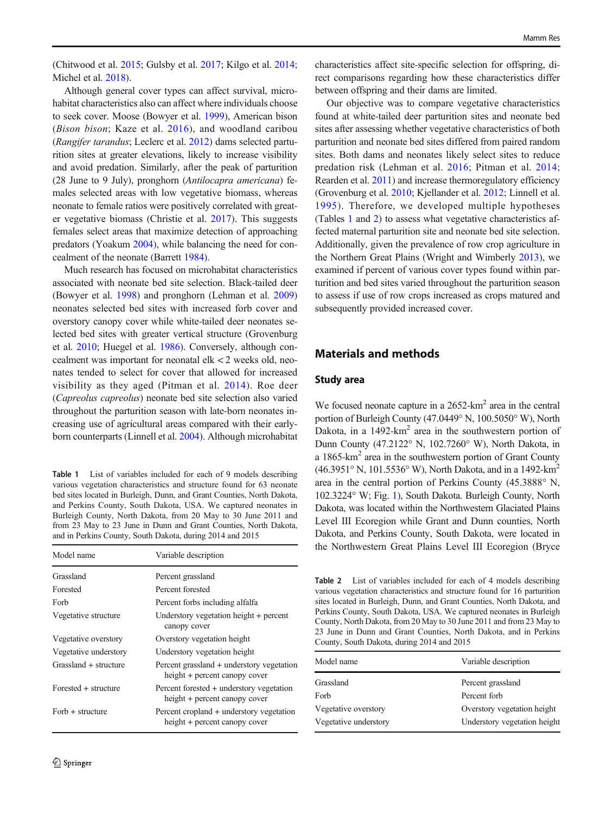<span id="page-3-0"></span>(Chitwood et al. [2015;](#page-9-0) Gulsby et al. [2017;](#page-10-0) Kilgo et al. [2014](#page-10-0); Michel et al. [2018](#page-10-0)).

Although general cover types can affect survival, microhabitat characteristics also can affect where individuals choose to seek cover. Moose (Bowyer et al. [1999](#page-9-0)), American bison (Bison bison; Kaze et al. [2016\)](#page-10-0), and woodland caribou (Rangifer tarandus; Leclerc et al. [2012](#page-10-0)) dams selected parturition sites at greater elevations, likely to increase visibility and avoid predation. Similarly, after the peak of parturition (28 June to 9 July), pronghorn (Antilocapra americana) females selected areas with low vegetative biomass, whereas neonate to female ratios were positively correlated with greater vegetative biomass (Christie et al. [2017\)](#page-9-0). This suggests females select areas that maximize detection of approaching predators (Yoakum [2004\)](#page-10-0), while balancing the need for concealment of the neonate (Barrett [1984](#page-9-0)).

Much research has focused on microhabitat characteristics associated with neonate bed site selection. Black-tailed deer (Bowyer et al. [1998\)](#page-9-0) and pronghorn (Lehman et al. [2009\)](#page-10-0) neonates selected bed sites with increased forb cover and overstory canopy cover while white-tailed deer neonates selected bed sites with greater vertical structure (Grovenburg et al. [2010](#page-9-0); Huegel et al. [1986\)](#page-10-0). Conversely, although concealment was important for neonatal elk < 2 weeks old, neonates tended to select for cover that allowed for increased visibility as they aged (Pitman et al. [2014](#page-10-0)). Roe deer (Capreolus capreolus) neonate bed site selection also varied throughout the parturition season with late-born neonates increasing use of agricultural areas compared with their earlyborn counterparts (Linnell et al. [2004\)](#page-10-0). Although microhabitat

Table 1 List of variables included for each of 9 models describing various vegetation characteristics and structure found for 63 neonate bed sites located in Burleigh, Dunn, and Grant Counties, North Dakota, and Perkins County, South Dakota, USA. We captured neonates in Burleigh County, North Dakota, from 20 May to 30 June 2011 and from 23 May to 23 June in Dunn and Grant Counties, North Dakota, and in Perkins County, South Dakota, during 2014 and 2015

| Model name             | Variable description                                                       |  |
|------------------------|----------------------------------------------------------------------------|--|
| Grassland              | Percent grassland                                                          |  |
| Forested               | Percent forested                                                           |  |
| Forb                   | Percent forbs including alfalfa                                            |  |
| Vegetative structure   | Understory vegetation height + percent<br>canopy cover                     |  |
| Vegetative overstory   | Overstory vegetation height                                                |  |
| Vegetative understory  | Understory vegetation height                                               |  |
| Grassland + structure  | Percent grassland + understory vegetation<br>height + percent canopy cover |  |
| $Forested + structure$ | Percent forested + understory vegetation<br>height + percent canopy cover  |  |
| $Forb + structure$     | Percent cropland + understory vegetation<br>height + percent canopy cover  |  |

characteristics affect site-specific selection for offspring, direct comparisons regarding how these characteristics differ between offspring and their dams are limited.

Our objective was to compare vegetative characteristics found at white-tailed deer parturition sites and neonate bed sites after assessing whether vegetative characteristics of both parturition and neonate bed sites differed from paired random sites. Both dams and neonates likely select sites to reduce predation risk (Lehman et al. [2016;](#page-10-0) Pitman et al. [2014;](#page-10-0) Rearden et al. [2011](#page-10-0)) and increase thermoregulatory efficiency (Grovenburg et al. [2010;](#page-9-0) Kjellander et al. [2012;](#page-10-0) Linnell et al. [1995\)](#page-10-0). Therefore, we developed multiple hypotheses (Tables 1 and 2) to assess what vegetative characteristics affected maternal parturition site and neonate bed site selection. Additionally, given the prevalence of row crop agriculture in the Northern Great Plains (Wright and Wimberly [2013](#page-10-0)), we examined if percent of various cover types found within parturition and bed sites varied throughout the parturition season to assess if use of row crops increased as crops matured and subsequently provided increased cover.

## Materials and methods

#### Study area

We focused neonate capture in a 2652-km<sup>2</sup> area in the central portion of Burleigh County (47.0449° N, 100.5050° W), North Dakota, in a  $1492 \text{-} \text{km}^2$  area in the southwestern portion of Dunn County (47.2122° N, 102.7260° W), North Dakota, in a 1865-km2 area in the southwestern portion of Grant County (46.3951° N, 101.5536° W), North Dakota, and in a 1492-km2 area in the central portion of Perkins County (45.3888° N, 102.3224° W; Fig. [1](#page-4-0)), South Dakota. Burleigh County, North Dakota, was located within the Northwestern Glaciated Plains Level III Ecoregion while Grant and Dunn counties, North Dakota, and Perkins County, South Dakota, were located in the Northwestern Great Plains Level III Ecoregion (Bryce

Table 2 List of variables included for each of 4 models describing various vegetation characteristics and structure found for 16 parturition sites located in Burleigh, Dunn, and Grant Counties, North Dakota, and Perkins County, South Dakota, USA. We captured neonates in Burleigh County, North Dakota, from 20 May to 30 June 2011 and from 23 May to 23 June in Dunn and Grant Counties, North Dakota, and in Perkins County, South Dakota, during 2014 and 2015

| Model name            | Variable description         |
|-----------------------|------------------------------|
| Grassland             | Percent grassland            |
| Forb                  | Percent forb                 |
| Vegetative overstory  | Overstory vegetation height  |
| Vegetative understory | Understory vegetation height |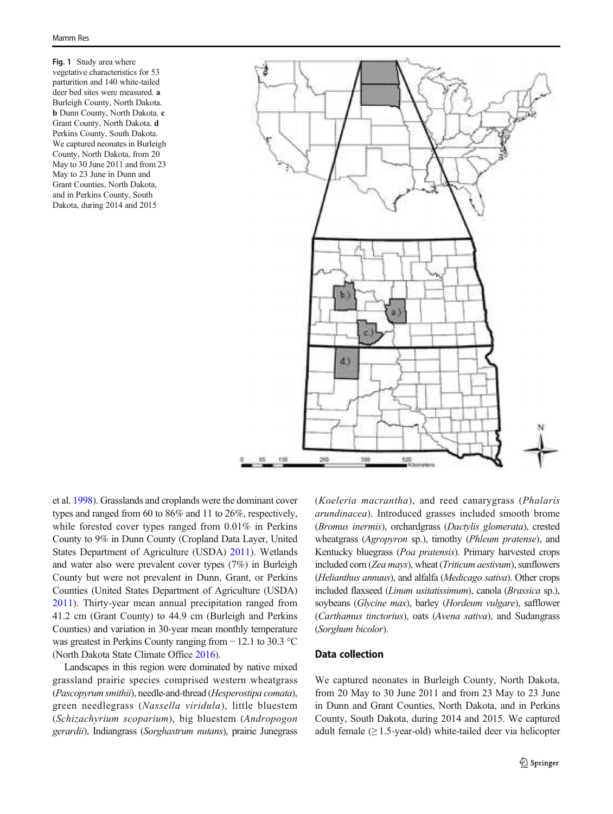<span id="page-4-0"></span>Fig. 1 Study area where vegetative characteristics for 53 parturition and 140 white-tailed deer bed sites were measured. a Burleigh County, North Dakota. b Dunn County, North Dakota. c Grant County, North Dakota. d Perkins County, South Dakota. We captured neonates in Burleigh County, North Dakota, from 20 May to 30 June 2011 and from 23 May to 23 June in Dunn and Grant Counties, North Dakota, and in Perkins County, South Dakota, during 2014 and 2015



et al. [1998](#page-9-0)). Grasslands and croplands were the dominant cover types and ranged from 60 to 86% and 11 to 26%, respectively, while forested cover types ranged from 0.01% in Perkins County to 9% in Dunn County (Cropland Data Layer, United States Department of Agriculture (USDA) [2011](#page-10-0)). Wetlands and water also were prevalent cover types (7%) in Burleigh County but were not prevalent in Dunn, Grant, or Perkins Counties (United States Department of Agriculture (USDA) [2011](#page-10-0)). Thirty-year mean annual precipitation ranged from 41.2 cm (Grant County) to 44.9 cm (Burleigh and Perkins Counties) and variation in 30-year mean monthly temperature was greatest in Perkins County ranging from − 12.1 to 30.3 °C (North Dakota State Climate Office [2016](#page-10-0)).

Landscapes in this region were dominated by native mixed grassland prairie species comprised western wheatgrass (Pascopyrum smithii), needle-and-thread (Hesperostipa comata), green needlegrass (Nassella viridula), little bluestem (Schizachyrium scoparium), big bluestem (Andropogon gerardii), Indiangrass (Sorghastrum nutans), prairie Junegrass (Koeleria macrantha), and reed canarygrass (Phalaris arundinacea). Introduced grasses included smooth brome (Bromus inermis), orchardgrass (Dactylis glomerata), crested wheatgrass (Agropyron sp.), timothy (Phleum pratense), and Kentucky bluegrass (Poa pratensis). Primary harvested crops included corn (Zea mays), wheat (Triticum aestivum), sunflowers (Helianthus annuus), and alfalfa (Medicago sativa). Other crops included flaxseed (Linum usitatissimum), canola (Brassica sp.), soybeans (Glycine max), barley (Hordeum vulgare), safflower (Carthamus tinctorius), oats (Avena sativa), and Sudangrass (Sorghum bicolor).

### Data collection

We captured neonates in Burleigh County, North Dakota, from 20 May to 30 June 2011 and from 23 May to 23 June in Dunn and Grant Counties, North Dakota, and in Perkins County, South Dakota, during 2014 and 2015. We captured adult female  $(≥ 1.5$ -year-old) white-tailed deer via helicopter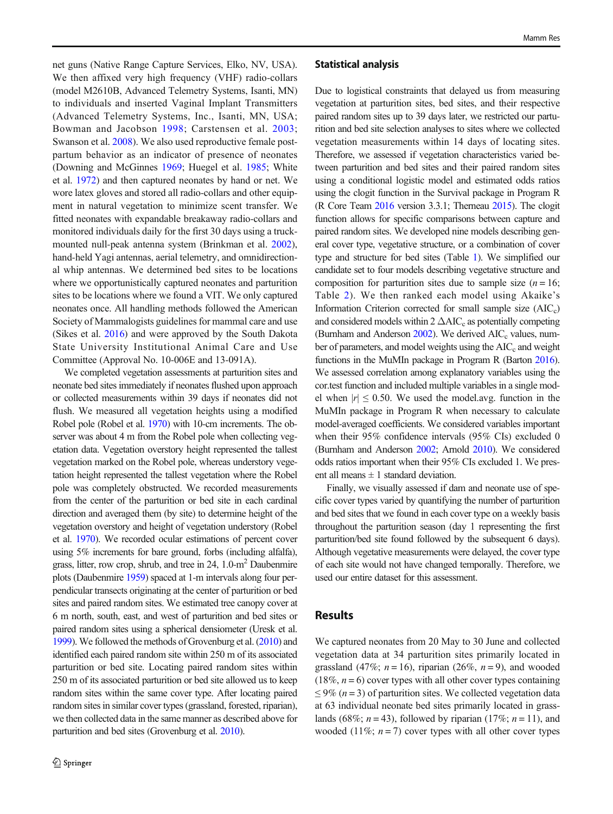net guns (Native Range Capture Services, Elko, NV, USA). We then affixed very high frequency (VHF) radio-collars (model M2610B, Advanced Telemetry Systems, Isanti, MN) to individuals and inserted Vaginal Implant Transmitters (Advanced Telemetry Systems, Inc., Isanti, MN, USA; Bowman and Jacobson [1998;](#page-9-0) Carstensen et al. [2003](#page-9-0); Swanson et al. [2008\)](#page-10-0). We also used reproductive female postpartum behavior as an indicator of presence of neonates (Downing and McGinnes [1969;](#page-9-0) Huegel et al. [1985;](#page-10-0) White et al. [1972](#page-10-0)) and then captured neonates by hand or net. We wore latex gloves and stored all radio-collars and other equipment in natural vegetation to minimize scent transfer. We fitted neonates with expandable breakaway radio-collars and monitored individuals daily for the first 30 days using a truckmounted null-peak antenna system (Brinkman et al. [2002](#page-9-0)), hand-held Yagi antennas, aerial telemetry, and omnidirectional whip antennas. We determined bed sites to be locations where we opportunistically captured neonates and parturition sites to be locations where we found a VIT. We only captured neonates once. All handling methods followed the American Society of Mammalogists guidelines for mammal care and use (Sikes et al. [2016\)](#page-10-0) and were approved by the South Dakota State University Institutional Animal Care and Use Committee (Approval No. 10-006E and 13-091A).

We completed vegetation assessments at parturition sites and neonate bed sites immediately if neonates flushed upon approach or collected measurements within 39 days if neonates did not flush. We measured all vegetation heights using a modified Robel pole (Robel et al. [1970](#page-10-0)) with 10-cm increments. The observer was about 4 m from the Robel pole when collecting vegetation data. Vegetation overstory height represented the tallest vegetation marked on the Robel pole, whereas understory vegetation height represented the tallest vegetation where the Robel pole was completely obstructed. We recorded measurements from the center of the parturition or bed site in each cardinal direction and averaged them (by site) to determine height of the vegetation overstory and height of vegetation understory (Robel et al. [1970](#page-10-0)). We recorded ocular estimations of percent cover using 5% increments for bare ground, forbs (including alfalfa), grass, litter, row crop, shrub, and tree in 24, 1.0-m2 Daubenmire plots (Daubenmire [1959](#page-9-0)) spaced at 1-m intervals along four perpendicular transects originating at the center of parturition or bed sites and paired random sites. We estimated tree canopy cover at 6 m north, south, east, and west of parturition and bed sites or paired random sites using a spherical densiometer (Uresk et al. [1999\)](#page-10-0). We followed the methods of Grovenburg et al. [\(2010](#page-9-0)) and identified each paired random site within 250 m of its associated parturition or bed site. Locating paired random sites within 250 m of its associated parturition or bed site allowed us to keep random sites within the same cover type. After locating paired random sites in similar cover types (grassland, forested, riparian), we then collected data in the same manner as described above for parturition and bed sites (Grovenburg et al. [2010\)](#page-9-0).

#### Statistical analysis

Due to logistical constraints that delayed us from measuring vegetation at parturition sites, bed sites, and their respective paired random sites up to 39 days later, we restricted our parturition and bed site selection analyses to sites where we collected vegetation measurements within 14 days of locating sites. Therefore, we assessed if vegetation characteristics varied between parturition and bed sites and their paired random sites using a conditional logistic model and estimated odds ratios using the clogit function in the Survival package in Program R (R Core Team [2016](#page-10-0) version 3.3.1; Therneau [2015](#page-10-0)). The clogit function allows for specific comparisons between capture and paired random sites. We developed nine models describing general cover type, vegetative structure, or a combination of cover type and structure for bed sites (Table [1](#page-3-0)). We simplified our candidate set to four models describing vegetative structure and composition for parturition sites due to sample size  $(n = 16)$ ; Table [2\)](#page-3-0). We then ranked each model using Akaike's Information Criterion corrected for small sample size  $(AIC<sub>c</sub>)$ and considered models within  $2 \triangle AIC_c$  as potentially competing (Burnham and Anderson [2002](#page-9-0)). We derived  $AIC_c$  values, number of parameters, and model weights using the AIC<sub>c</sub> and weight functions in the MuMIn package in Program R (Barton [2016\)](#page-9-0). We assessed correlation among explanatory variables using the cor.test function and included multiple variables in a single model when  $|r| \leq 0.50$ . We used the model.avg. function in the MuMIn package in Program R when necessary to calculate model-averaged coefficients. We considered variables important when their 95% confidence intervals (95% CIs) excluded 0 (Burnham and Anderson [2002](#page-9-0); Arnold [2010](#page-9-0)). We considered odds ratios important when their 95% CIs excluded 1. We present all means  $\pm 1$  standard deviation.

Finally, we visually assessed if dam and neonate use of specific cover types varied by quantifying the number of parturition and bed sites that we found in each cover type on a weekly basis throughout the parturition season (day 1 representing the first parturition/bed site found followed by the subsequent 6 days). Although vegetative measurements were delayed, the cover type of each site would not have changed temporally. Therefore, we used our entire dataset for this assessment.

### Results

We captured neonates from 20 May to 30 June and collected vegetation data at 34 parturition sites primarily located in grassland (47%;  $n = 16$ ), riparian (26%,  $n = 9$ ), and wooded  $(18\%, n=6)$  cover types with all other cover types containing  $\leq$  9% (*n* = 3) of parturition sites. We collected vegetation data at 63 individual neonate bed sites primarily located in grasslands (68%;  $n = 43$ ), followed by riparian (17%;  $n = 11$ ), and wooded (11%;  $n = 7$ ) cover types with all other cover types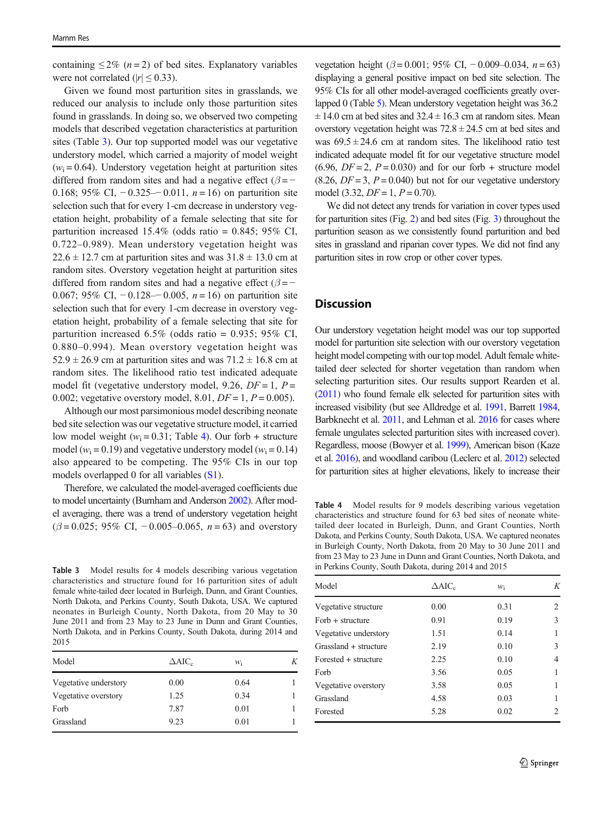containing  $\leq 2\%$  (*n* = 2) of bed sites. Explanatory variables were not correlated ( $|r| \leq 0.33$ ).

Given we found most parturition sites in grasslands, we reduced our analysis to include only those parturition sites found in grasslands. In doing so, we observed two competing models that described vegetation characteristics at parturition sites (Table 3). Our top supported model was our vegetative understory model, which carried a majority of model weight  $(w<sub>i</sub> = 0.64)$ . Understory vegetation height at parturition sites differed from random sites and had a negative effect ( $\beta$  = − 0.168; 95% CI,  $-0.325-0.011$ ,  $n = 16$ ) on parturition site selection such that for every 1-cm decrease in understory vegetation height, probability of a female selecting that site for parturition increased  $15.4\%$  (odds ratio = 0.845; 95% CI, 0.722–0.989). Mean understory vegetation height was  $22.6 \pm 12.7$  cm at parturition sites and was  $31.8 \pm 13.0$  cm at random sites. Overstory vegetation height at parturition sites differed from random sites and had a negative effect ( $\beta$  = − 0.067; 95% CI,  $-0.128-0.005$ ,  $n = 16$ ) on parturition site selection such that for every 1-cm decrease in overstory vegetation height, probability of a female selecting that site for parturition increased  $6.5\%$  (odds ratio = 0.935; 95% CI, 0.880–0.994). Mean overstory vegetation height was  $52.9 \pm 26.9$  cm at parturition sites and was  $71.2 \pm 16.8$  cm at random sites. The likelihood ratio test indicated adequate model fit (vegetative understory model, 9.26,  $DF = 1$ ,  $P =$ 0.002; vegetative overstory model, 8.01,  $DF = 1, P = 0.005$ ).

Although our most parsimonious model describing neonate bed site selection was our vegetative structure model, it carried low model weight ( $w_i = 0.31$ ; Table 4). Our forb + structure model ( $w_i$  = 0.19) and vegetative understory model ( $w_i$  = 0.14) also appeared to be competing. The 95% CIs in our top models overlapped 0 for all variables (S1).

Therefore, we calculated the model-averaged coefficients due to model uncertainty (Burnham and Anderson [2002\)](#page-9-0). After model averaging, there was a trend of understory vegetation height  $(\beta = 0.025; 95\% \text{ CI}, -0.005-0.065, n = 63)$  and overstory

Table 3 Model results for 4 models describing various vegetation characteristics and structure found for 16 parturition sites of adult female white-tailed deer located in Burleigh, Dunn, and Grant Counties, North Dakota, and Perkins County, South Dakota, USA. We captured neonates in Burleigh County, North Dakota, from 20 May to 30 June 2011 and from 23 May to 23 June in Dunn and Grant Counties, North Dakota, and in Perkins County, South Dakota, during 2014 and 2015

| Model                 | $\triangle$ AIC <sub>c</sub> | Wi   | Κ |  |
|-----------------------|------------------------------|------|---|--|
| Vegetative understory | 0.00                         | 0.64 |   |  |
| Vegetative overstory  | 1.25                         | 0.34 |   |  |
| Forb                  | 7.87                         | 0.01 |   |  |
| Grassland             | 9.23                         | 0.01 |   |  |

vegetation height ( $\beta$  = 0.001; 95% CI, -0.009–0.034, n = 63) displaying a general positive impact on bed site selection. The 95% CIs for all other model-averaged coefficients greatly overlapped 0 (Table [5\)](#page-7-0). Mean understory vegetation height was 36.2  $\pm$  14.0 cm at bed sites and 32.4  $\pm$  16.3 cm at random sites. Mean overstory vegetation height was  $72.8 \pm 24.5$  cm at bed sites and was  $69.5 \pm 24.6$  cm at random sites. The likelihood ratio test indicated adequate model fit for our vegetative structure model  $(6.96, DF = 2, P = 0.030)$  and for our forb + structure model  $(8.26, DF = 3, P = 0.040)$  but not for our vegetative understory model (3.32,  $DF = 1, P = 0.70$ ).

We did not detect any trends for variation in cover types used for parturition sites (Fig. [2](#page-7-0)) and bed sites (Fig. [3](#page-8-0)) throughout the parturition season as we consistently found parturition and bed sites in grassland and riparian cover types. We did not find any parturition sites in row crop or other cover types.

## **Discussion**

Our understory vegetation height model was our top supported model for parturition site selection with our overstory vegetation height model competing with our top model. Adult female whitetailed deer selected for shorter vegetation than random when selecting parturition sites. Our results support Rearden et al. [\(2011\)](#page-10-0) who found female elk selected for parturition sites with increased visibility (but see Alldredge et al. [1991,](#page-9-0) Barrett [1984,](#page-9-0) Barbknecht et al. [2011,](#page-9-0) and Lehman et al. [2016](#page-10-0) for cases where female ungulates selected parturition sites with increased cover). Regardless, moose (Bowyer et al. [1999\)](#page-9-0), American bison (Kaze et al. [2016\)](#page-10-0), and woodland caribou (Leclerc et al. [2012](#page-10-0)) selected for parturition sites at higher elevations, likely to increase their

Table 4 Model results for 9 models describing various vegetation characteristics and structure found for 63 bed sites of neonate whitetailed deer located in Burleigh, Dunn, and Grant Counties, North Dakota, and Perkins County, South Dakota, USA. We captured neonates in Burleigh County, North Dakota, from 20 May to 30 June 2011 and from 23 May to 23 June in Dunn and Grant Counties, North Dakota, and in Perkins County, South Dakota, during 2014 and 2015

| Model                  | $\Delta AIC_c$ | $W_i$ | K |
|------------------------|----------------|-------|---|
| Vegetative structure   | 0.00           | 0.31  | 2 |
| $Forb + structure$     | 0.91           | 0.19  | 3 |
| Vegetative understory  | 1.51           | 0.14  | 1 |
| Grassland + structure  | 2.19           | 0.10  | 3 |
| $Forested + structure$ | 2.25           | 0.10  | 4 |
| Forb                   | 3.56           | 0.05  | 1 |
| Vegetative overstory   | 3.58           | 0.05  | 1 |
| Grassland              | 4.58           | 0.03  | 1 |
| Forested               | 5.28           | 0.02  | 2 |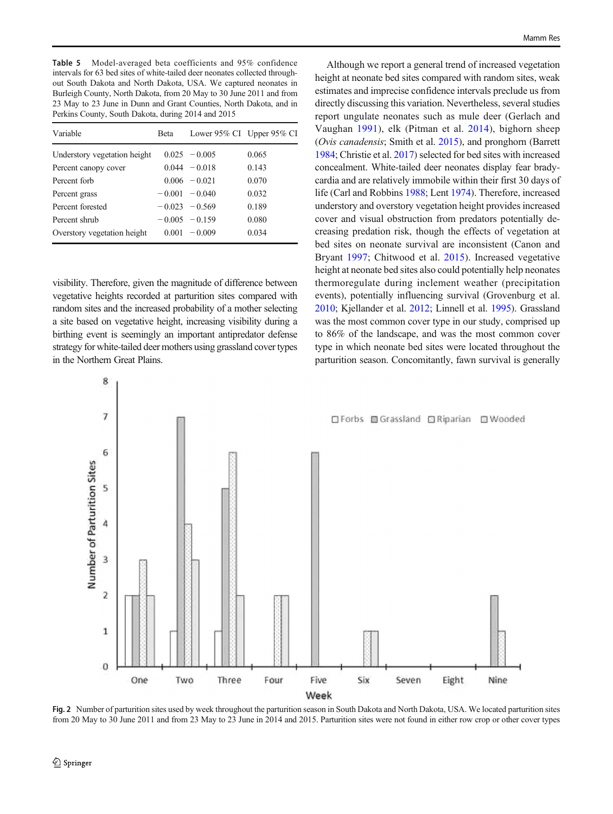<span id="page-7-0"></span>Table 5 Model-averaged beta coefficients and 95% confidence intervals for 63 bed sites of white-tailed deer neonates collected throughout South Dakota and North Dakota, USA. We captured neonates in Burleigh County, North Dakota, from 20 May to 30 June 2011 and from 23 May to 23 June in Dunn and Grant Counties, North Dakota, and in Perkins County, South Dakota, during 2014 and 2015

| Variable                     | <b>Beta</b> | Lower 95% CI Upper 95% CI |       |
|------------------------------|-------------|---------------------------|-------|
| Understory vegetation height |             | $0.025 - 0.005$           | 0.065 |
| Percent canopy cover         |             | $0.044 - 0.018$           | 0.143 |
| Percent forb                 |             | $0.006 - 0.021$           | 0.070 |
| Percent grass                |             | $-0.001 - 0.040$          | 0.032 |
| Percent forested             |             | $-0.023 - 0.569$          | 0.189 |
| Percent shrub                |             | $-0.005 - 0.159$          | 0.080 |
| Overstory vegetation height  |             | $0.001 - 0.009$           | 0.034 |

visibility. Therefore, given the magnitude of difference between vegetative heights recorded at parturition sites compared with random sites and the increased probability of a mother selecting a site based on vegetative height, increasing visibility during a birthing event is seemingly an important antipredator defense strategy for white-tailed deer mothers using grassland cover types in the Northern Great Plains.

 $\bf{8}$ 

Although we report a general trend of increased vegetation height at neonate bed sites compared with random sites, weak estimates and imprecise confidence intervals preclude us from directly discussing this variation. Nevertheless, several studies report ungulate neonates such as mule deer (Gerlach and Vaughan [1991](#page-9-0)), elk (Pitman et al. [2014](#page-10-0)), bighorn sheep (Ovis canadensis; Smith et al. [2015\)](#page-10-0), and pronghorn (Barrett [1984;](#page-9-0) Christie et al. [2017](#page-9-0)) selected for bed sites with increased concealment. White-tailed deer neonates display fear bradycardia and are relatively immobile within their first 30 days of life (Carl and Robbins [1988](#page-9-0); Lent [1974\)](#page-10-0). Therefore, increased understory and overstory vegetation height provides increased cover and visual obstruction from predators potentially decreasing predation risk, though the effects of vegetation at bed sites on neonate survival are inconsistent (Canon and Bryant [1997](#page-9-0); Chitwood et al. [2015\)](#page-9-0). Increased vegetative height at neonate bed sites also could potentially help neonates thermoregulate during inclement weather (precipitation events), potentially influencing survival (Grovenburg et al. [2010;](#page-9-0) Kjellander et al. [2012;](#page-10-0) Linnell et al. [1995\)](#page-10-0). Grassland was the most common cover type in our study, comprised up to 86% of the landscape, and was the most common cover type in which neonate bed sites were located throughout the parturition season. Concomitantly, fawn survival is generally



Fig. 2 Number of parturition sites used by week throughout the parturition season in South Dakota and North Dakota, USA. We located parturition sites from 20 May to 30 June 2011 and from 23 May to 23 June in 2014 and 2015. Parturition sites were not found in either row crop or other cover types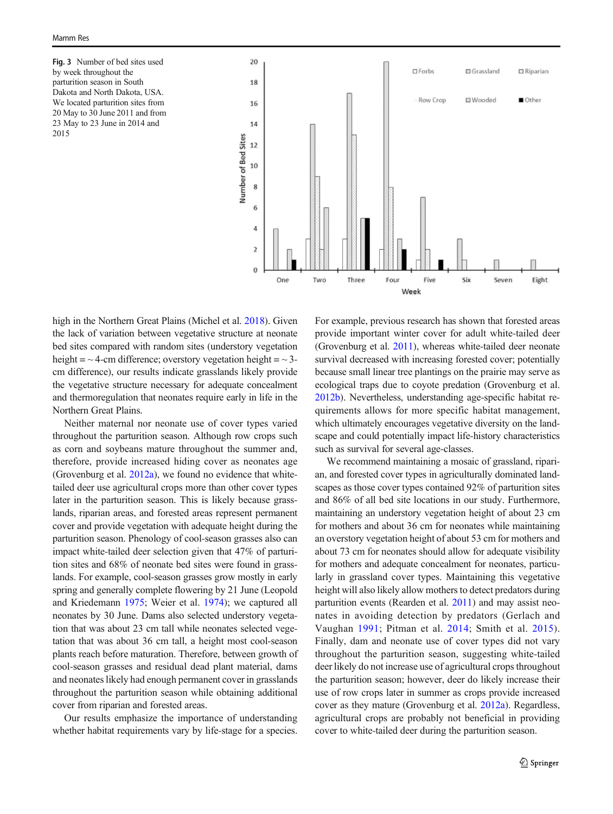<span id="page-8-0"></span>Fig. 3 Number of bed sites used by week throughout the parturition season in South Dakota and North Dakota, USA. We located parturition sites from 20 May to 30 June 2011 and from 23 May to 23 June in 2014 and 2015



high in the Northern Great Plains (Michel et al. [2018](#page-10-0)). Given the lack of variation between vegetative structure at neonate bed sites compared with random sites (understory vegetation height =  $\sim$  4-cm difference; overstory vegetation height =  $\sim$  3cm difference), our results indicate grasslands likely provide the vegetative structure necessary for adequate concealment and thermoregulation that neonates require early in life in the Northern Great Plains.

Neither maternal nor neonate use of cover types varied throughout the parturition season. Although row crops such as corn and soybeans mature throughout the summer and, therefore, provide increased hiding cover as neonates age (Grovenburg et al. [2012a](#page-9-0)), we found no evidence that whitetailed deer use agricultural crops more than other cover types later in the parturition season. This is likely because grasslands, riparian areas, and forested areas represent permanent cover and provide vegetation with adequate height during the parturition season. Phenology of cool-season grasses also can impact white-tailed deer selection given that 47% of parturition sites and 68% of neonate bed sites were found in grasslands. For example, cool-season grasses grow mostly in early spring and generally complete flowering by 21 June (Leopold and Kriedemann [1975](#page-10-0); Weier et al. [1974\)](#page-10-0); we captured all neonates by 30 June. Dams also selected understory vegetation that was about 23 cm tall while neonates selected vegetation that was about 36 cm tall, a height most cool-season plants reach before maturation. Therefore, between growth of cool-season grasses and residual dead plant material, dams and neonates likely had enough permanent cover in grasslands throughout the parturition season while obtaining additional cover from riparian and forested areas.

Our results emphasize the importance of understanding whether habitat requirements vary by life-stage for a species.

For example, previous research has shown that forested areas provide important winter cover for adult white-tailed deer (Grovenburg et al. [2011\)](#page-9-0), whereas white-tailed deer neonate survival decreased with increasing forested cover; potentially because small linear tree plantings on the prairie may serve as ecological traps due to coyote predation (Grovenburg et al. [2012b\)](#page-10-0). Nevertheless, understanding age-specific habitat requirements allows for more specific habitat management, which ultimately encourages vegetative diversity on the landscape and could potentially impact life-history characteristics such as survival for several age-classes.

We recommend maintaining a mosaic of grassland, riparian, and forested cover types in agriculturally dominated landscapes as those cover types contained 92% of parturition sites and 86% of all bed site locations in our study. Furthermore, maintaining an understory vegetation height of about 23 cm for mothers and about 36 cm for neonates while maintaining an overstory vegetation height of about 53 cm for mothers and about 73 cm for neonates should allow for adequate visibility for mothers and adequate concealment for neonates, particularly in grassland cover types. Maintaining this vegetative height will also likely allow mothers to detect predators during parturition events (Rearden et al. [2011](#page-10-0)) and may assist neonates in avoiding detection by predators (Gerlach and Vaughan [1991;](#page-9-0) Pitman et al. [2014;](#page-10-0) Smith et al. [2015](#page-10-0)). Finally, dam and neonate use of cover types did not vary throughout the parturition season, suggesting white-tailed deer likely do not increase use of agricultural crops throughout the parturition season; however, deer do likely increase their use of row crops later in summer as crops provide increased cover as they mature (Grovenburg et al. [2012a\)](#page-9-0). Regardless, agricultural crops are probably not beneficial in providing cover to white-tailed deer during the parturition season.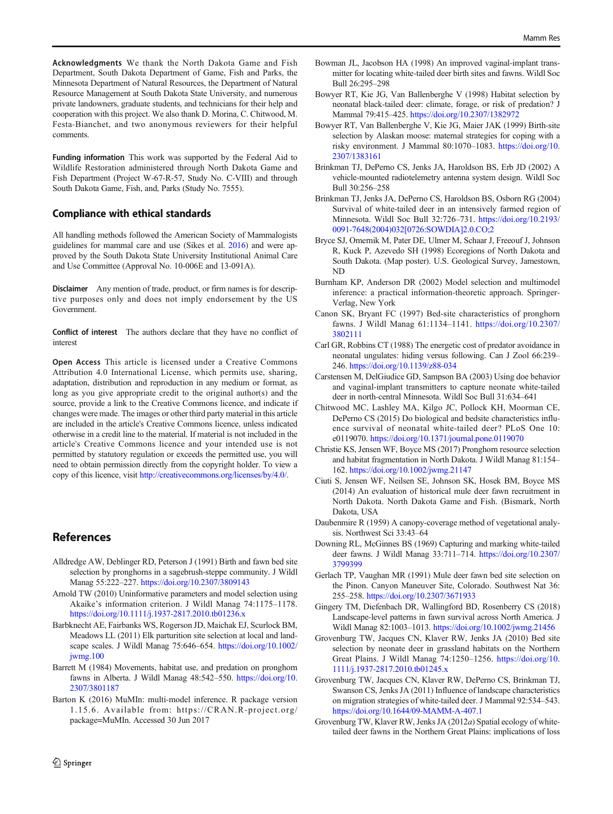<span id="page-9-0"></span>Acknowledgments We thank the North Dakota Game and Fish Department, South Dakota Department of Game, Fish and Parks, the Minnesota Department of Natural Resources, the Department of Natural Resource Management at South Dakota State University, and numerous private landowners, graduate students, and technicians for their help and cooperation with this project. We also thank D. Morina, C. Chitwood, M. Festa-Bianchet, and two anonymous reviewers for their helpful comments.

Funding information This work was supported by the Federal Aid to Wildlife Restoration administered through North Dakota Game and Fish Department (Project W-67-R-57, Study No. C-VIII) and through South Dakota Game, Fish, and, Parks (Study No. 7555).

#### Compliance with ethical standards

All handling methods followed the American Society of Mammalogists guidelines for mammal care and use (Sikes et al. [2016\)](#page-10-0) and were approved by the South Dakota State University Institutional Animal Care and Use Committee (Approval No. 10-006E and 13-091A).

Disclaimer Any mention of trade, product, or firm names is for descriptive purposes only and does not imply endorsement by the US Government.

Conflict of interest The authors declare that they have no conflict of interest

Open Access This article is licensed under a Creative Commons Attribution 4.0 International License, which permits use, sharing, adaptation, distribution and reproduction in any medium or format, as long as you give appropriate credit to the original author(s) and the source, provide a link to the Creative Commons licence, and indicate if changes were made. The images or other third party material in this article are included in the article's Creative Commons licence, unless indicated otherwise in a credit line to the material. If material is not included in the article's Creative Commons licence and your intended use is not permitted by statutory regulation or exceeds the permitted use, you will need to obtain permission directly from the copyright holder. To view a copy of this licence, visit [http://creativecommons.org/licenses/by/4.0/.](https://doi.org/)

## References

- Alldredge AW, Deblinger RD, Peterson J (1991) Birth and fawn bed site selection by pronghorns in a sagebrush-steppe community. J Wildl Manag 55:222–227. <https://doi.org/10.2307/3809143>
- Arnold TW (2010) Uninformative parameters and model selection using Akaike's information criterion. J Wildl Manag 74:1175–1178. <https://doi.org/10.1111/j.1937-2817.2010.tb01236.x>
- Barbknecht AE, Fairbanks WS, Rogerson JD, Maichak EJ, Scurlock BM, Meadows LL (2011) Elk parturition site selection at local and landscape scales. J Wildl Manag 75:646–654. [https://doi.org/10.1002/](https://doi.org/10.1002/jwmg.100) [jwmg.100](https://doi.org/10.1002/jwmg.100)
- Barrett M (1984) Movements, habitat use, and predation on pronghorn fawns in Alberta. J Wildl Manag 48:542-550. [https://doi.org/10.](https://doi.org/10.2307/3801187) [2307/3801187](https://doi.org/10.2307/3801187)
- Barton K (2016) MuMIn: multi-model inference. R package version 1.15.6. Available from: https://CRAN.R-project.org/ package=MuMIn. Accessed 30 Jun 2017
- Bowman JL, Jacobson HA (1998) An improved vaginal-implant transmitter for locating white-tailed deer birth sites and fawns. Wildl Soc Bull 26:295–298
- Bowyer RT, Kie JG, Van Ballenberghe V (1998) Habitat selection by neonatal black-tailed deer: climate, forage, or risk of predation? J Mammal 79:415–425. <https://doi.org/10.2307/1382972>
- Bowyer RT, Van Ballenberghe V, Kie JG, Maier JAK (1999) Birth-site selection by Alaskan moose: maternal strategies for coping with a risky environment. J Mammal 80:1070–1083. [https://doi.org/10.](https://doi.org/10.2307/1383161) [2307/1383161](https://doi.org/10.2307/1383161)
- Brinkman TJ, DePerno CS, Jenks JA, Haroldson BS, Erb JD (2002) A vehicle-mounted radiotelemetry antenna system design. Wildl Soc Bull 30:256–258
- Brinkman TJ, Jenks JA, DePerno CS, Haroldson BS, Osborn RG (2004) Survival of white-tailed deer in an intensively farmed region of Minnesota. Wildl Soc Bull 32:726–731. [https://doi.org/10.2193/](https://doi.org/10.2193/0091-7648(2004)032<0726:SOWDIA>2.0.CO;2) [0091-7648\(2004\)032\[0726:SOWDIA\]2.0.CO;2](https://doi.org/10.2193/0091-7648(2004)032<0726:SOWDIA>2.0.CO;2)
- Bryce SJ, Omernik M, Pater DE, Ulmer M, Schaar J, Freeouf J, Johnson R, Kuck P, Azevedo SH (1998) Ecoregions of North Dakota and South Dakota. (Map poster). U.S. Geological Survey, Jamestown, ND
- Burnham KP, Anderson DR (2002) Model selection and multimodel inference: a practical information-theoretic approach. Springer-Verlag, New York
- Canon SK, Bryant FC (1997) Bed-site characteristics of pronghorn fawns. J Wildl Manag 61:1134–1141. [https://doi.org/10.2307/](https://doi.org/10.2307/3802111) [3802111](https://doi.org/10.2307/3802111)
- Carl GR, Robbins CT (1988) The energetic cost of predator avoidance in neonatal ungulates: hiding versus following. Can J Zool 66:239– 246. <https://doi.org/10.1139/z88-034>
- Carstensen M, DelGiudice GD, Sampson BA (2003) Using doe behavior and vaginal-implant transmitters to capture neonate white-tailed deer in north-central Minnesota. Wildl Soc Bull 31:634–641
- Chitwood MC, Lashley MA, Kilgo JC, Pollock KH, Moorman CE, DePerno CS (2015) Do biological and bedsite characteristics influence survival of neonatal white-tailed deer? PLoS One 10: e0119070. <https://doi.org/10.1371/journal.pone.0119070>
- Christie KS, Jensen WF, Boyce MS (2017) Pronghorn resource selection and habitat fragmentation in North Dakota. J Wildl Manag 81:154– 162. <https://doi.org/10.1002/jwmg.21147>
- Ciuti S, Jensen WF, Neilsen SE, Johnson SK, Hosek BM, Boyce MS (2014) An evaluation of historical mule deer fawn recruitment in North Dakota. North Dakota Game and Fish. (Bismark, North Dakota, USA
- Daubenmire R (1959) A canopy-coverage method of vegetational analysis. Northwest Sci 33:43–64
- Downing RL, McGinnes BS (1969) Capturing and marking white-tailed deer fawns. J Wildl Manag 33:711–714. [https://doi.org/10.2307/](https://doi.org/10.2307/3799399) [3799399](https://doi.org/10.2307/3799399)
- Gerlach TP, Vaughan MR (1991) Mule deer fawn bed site selection on the Pinon. Canyon Maneuver Site, Colorado. Southwest Nat 36: 255–258. <https://doi.org/10.2307/3671933>
- Gingery TM, Diefenbach DR, Wallingford BD, Rosenberry CS (2018) Landscape-level patterns in fawn survival across North America. J Wildl Manag 82:1003–1013. <https://doi.org/10.1002/jwmg.21456>
- Grovenburg TW, Jacques CN, Klaver RW, Jenks JA (2010) Bed site selection by neonate deer in grassland habitats on the Northern Great Plains. J Wildl Manag 74:1250–1256. [https://doi.org/10.](https://doi.org/10.1111/j.1937-2817.2010.tb01245.x) [1111/j.1937-2817.2010.tb01245.x](https://doi.org/10.1111/j.1937-2817.2010.tb01245.x)
- Grovenburg TW, Jacques CN, Klaver RW, DePerno CS, Brinkman TJ, Swanson CS, Jenks JA (2011) Influence of landscape characteristics on migration strategies of white-tailed deer. J Mammal 92:534–543. <https://doi.org/10.1644/09-MAMM-A-407.1>
- Grovenburg TW, Klaver RW, Jenks JA (2012a) Spatial ecology of whitetailed deer fawns in the Northern Great Plains: implications of loss